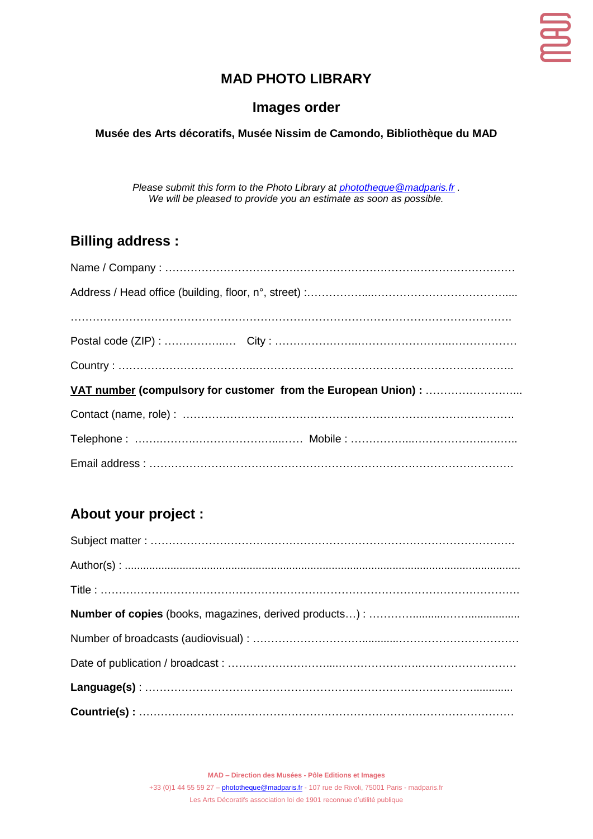

## **MAD PHOTO LIBRARY**

### **Images order**

#### **Musée des Arts décoratifs, Musée Nissim de Camondo, Bibliothèque du MAD**

*Please submit this form to the Photo Library at [phototheque@madparis.fr](mailto:phototheque@madparis.fr) . We will be pleased to provide you an estimate as soon as possible.*

## **Billing address :**

## **About your project :**

**MAD – Direction des Musées - Pôle Editions et Images**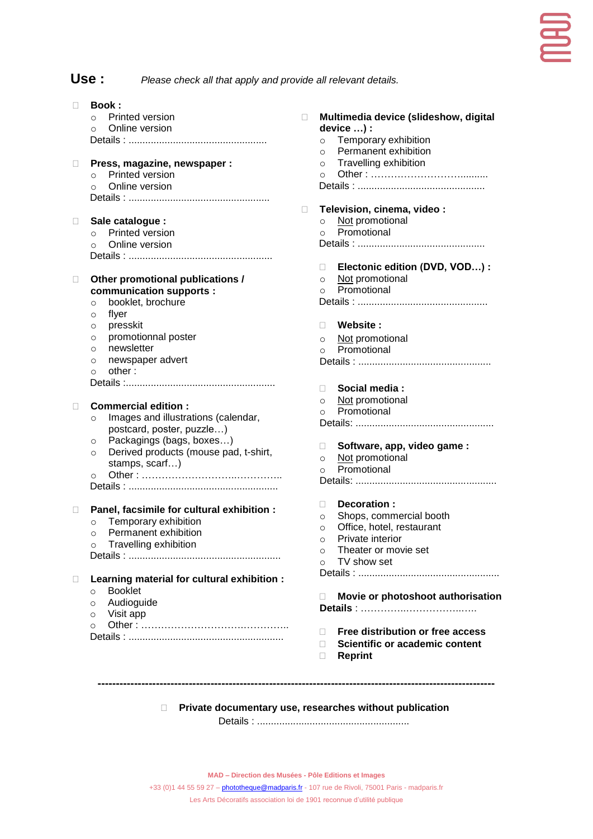#### **Use :** *Please check all that apply and provide all relevant details.*

| П      | <b>Book:</b>                                     |        |                                                          |
|--------|--------------------------------------------------|--------|----------------------------------------------------------|
|        | Printed version<br>$\circ$                       | П.     | Multimedia device (slideshow, digital                    |
|        | Online version<br>$\circ$                        |        | device ) :                                               |
|        |                                                  |        | Temporary exhibition<br>$\circ$                          |
|        |                                                  |        | Permanent exhibition<br>$\circ$                          |
| $\Box$ | Press, magazine, newspaper :                     |        | Travelling exhibition<br>$\circ$                         |
|        | Printed version<br>$\circ$                       |        | $\circ$                                                  |
|        | Online version<br>$\circ$                        |        |                                                          |
|        |                                                  |        |                                                          |
|        |                                                  | $\Box$ | Television, cinema, video:                               |
|        |                                                  |        | Not promotional<br>$\circ$                               |
| Ш      | Sale catalogue :<br>Printed version              |        | Promotional<br>$\circ$                                   |
|        | $\circ$<br>Online version                        |        |                                                          |
|        | $\circ$                                          |        |                                                          |
|        |                                                  |        |                                                          |
|        |                                                  |        | Electonic edition (DVD, VOD) :<br>□.                     |
| $\Box$ | Other promotional publications /                 |        | Not promotional<br>$\circ$<br>Promotional                |
|        | communication supports :                         |        | $\circ$                                                  |
|        | booklet, brochure<br>$\circ$                     |        |                                                          |
|        | flyer<br>$\circ$                                 |        |                                                          |
|        | presskit<br>$\circ$                              |        | Website:<br>П.                                           |
|        | promotionnal poster<br>$\circ$                   |        | Not promotional<br>$\circ$                               |
|        | newsletter<br>$\circ$                            |        | Promotional<br>$\Omega$                                  |
|        | newspaper advert<br>$\circ$                      |        |                                                          |
|        | other:<br>$\circ$                                |        |                                                          |
|        |                                                  |        | Social media:<br>П.                                      |
|        |                                                  |        | Not promotional<br>$\circ$                               |
| $\Box$ | <b>Commercial edition:</b>                       |        | Promotional<br>$\Omega$                                  |
|        | Images and illustrations (calendar,<br>$\circ$   |        |                                                          |
|        | postcard, poster, puzzle)                        |        |                                                          |
|        | Packagings (bags, boxes)<br>$\circ$              |        | Software, app, video game:<br>$\Box$                     |
|        | Derived products (mouse pad, t-shirt,<br>$\circ$ |        | Not promotional<br>$\circ$                               |
|        | stamps, scarf)                                   |        | Promotional<br>$\circ$                                   |
|        | $\circ$                                          |        |                                                          |
|        |                                                  |        |                                                          |
|        |                                                  |        | Decoration:<br>П.                                        |
| $\Box$ | Panel, facsimile for cultural exhibition :       |        | Shops, commercial booth                                  |
|        | Temporary exhibition<br>$\circ$                  |        | $\circ$                                                  |
|        | Permanent exhibition<br>$\circ$                  |        | Office, hotel, restaurant<br>$\circ$<br>Private interior |
|        | Travelling exhibition<br>$\circ$                 |        | $\sim$                                                   |
|        |                                                  |        | Theater or movie set<br>$\Omega$                         |
|        |                                                  |        | TV show set<br>$\circ$                                   |
| $\Box$ | Learning material for cultural exhibition :      |        |                                                          |
|        | <b>Booklet</b><br>$\circ$                        |        |                                                          |
|        | Audioguide<br>$\circ$                            |        | Movie or photoshoot authorisatio<br>П.                   |
|        | Visit app<br>$\circ$                             |        |                                                          |
|        | $\circ$                                          |        |                                                          |
|        |                                                  |        | Free distribution or free access<br>п                    |
|        |                                                  |        | Scientific or academic content<br>П                      |
|        |                                                  |        | <b>Reprint</b><br>П                                      |

- *<u>Exertibution or free access</u>*
- **Seint** content
- **Reprint**

**Private documentary use, researches without publication**

**-------------------------------------------------------------------------------------------------------------**

Details : .......................................................

**MAD – Direction des Musées - Pôle Editions et Images**

+33 (0)1 44 55 59 27 - *[phototheque@madparis.fr](mailto:phototheque@madparis.fr)* - 107 rue de Rivoli, 75001 Paris - madparis.fr Les Arts Décoratifs association loi de 1901 reconnue d'utilité publique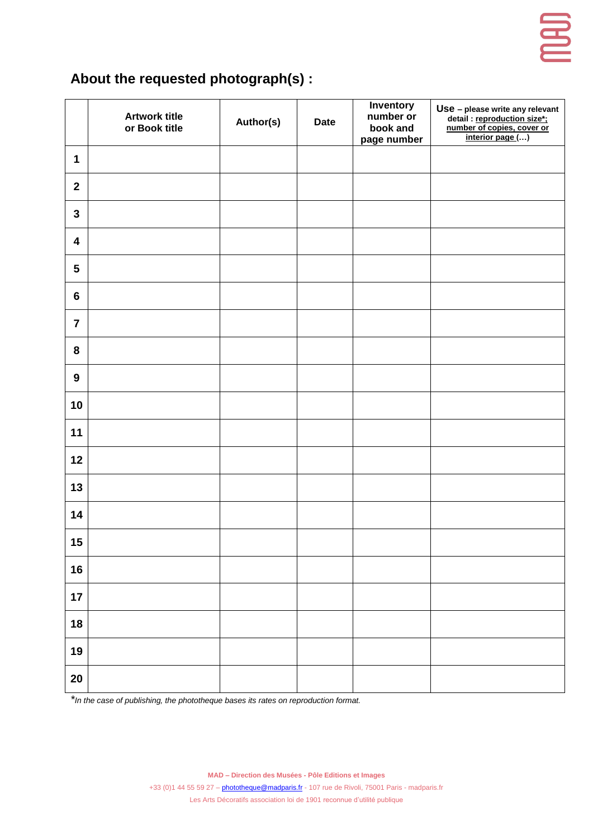

# **About the requested photograph(s) :**

|                  | <b>Artwork title</b><br>or Book title | Author(s) | <b>Date</b> | <b>Inventory</b><br>number or<br>book and<br>page number | Use - please write any relevant<br>detail : <u>reproduction size*;</u><br>number of copies, cover or<br>interior page () |
|------------------|---------------------------------------|-----------|-------------|----------------------------------------------------------|--------------------------------------------------------------------------------------------------------------------------|
| $\mathbf 1$      |                                       |           |             |                                                          |                                                                                                                          |
| $\overline{2}$   |                                       |           |             |                                                          |                                                                                                                          |
| $\mathbf{3}$     |                                       |           |             |                                                          |                                                                                                                          |
| $\boldsymbol{4}$ |                                       |           |             |                                                          |                                                                                                                          |
| $5\phantom{.0}$  |                                       |           |             |                                                          |                                                                                                                          |
| $6\phantom{a}$   |                                       |           |             |                                                          |                                                                                                                          |
| $\overline{7}$   |                                       |           |             |                                                          |                                                                                                                          |
| 8                |                                       |           |             |                                                          |                                                                                                                          |
| $\boldsymbol{9}$ |                                       |           |             |                                                          |                                                                                                                          |
| 10               |                                       |           |             |                                                          |                                                                                                                          |
| 11               |                                       |           |             |                                                          |                                                                                                                          |
| 12               |                                       |           |             |                                                          |                                                                                                                          |
| 13               |                                       |           |             |                                                          |                                                                                                                          |
| 14               |                                       |           |             |                                                          |                                                                                                                          |
| 15               |                                       |           |             |                                                          |                                                                                                                          |
| 16               |                                       |           |             |                                                          |                                                                                                                          |
| 17               |                                       |           |             |                                                          |                                                                                                                          |
| 18               |                                       |           |             |                                                          |                                                                                                                          |
| 19               |                                       |           |             |                                                          |                                                                                                                          |
| 20               |                                       |           |             |                                                          |                                                                                                                          |

*\*In the case of publishing, the phototheque bases its rates on reproduction format.* 

**MAD – Direction des Musées - Pôle Editions et Images**